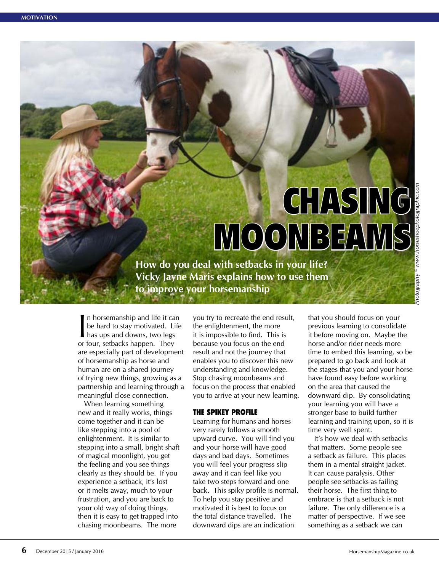# **CHASING** MOONBEAMS

**How do you deal with setbacks in your life? Vicky Jayne Maris explains how to use them to improve your horsemanship**

 $\prod_{\alpha\in\mathbb{Z}}$ n horsemanship and life it can be hard to stay motivated. Life has ups and downs, two legs or four, setbacks happen. They are especially part of development of horsemanship as horse and human are on a shared journey of trying new things, growing as a partnership and learning through a meaningful close connection.

When learning something new and it really works, things come together and it can be like stepping into a pool of enlightenment. It is similar to stepping into a small, bright shaft of magical moonlight, you get the feeling and you see things clearly as they should be. If you experience a setback, it's lost or it melts away, much to your frustration, and you are back to your old way of doing things, then it is easy to get trapped into chasing moonbeams. The more

you try to recreate the end result, the enlightenment, the more it is impossible to find. This is because you focus on the end result and not the journey that enables you to discover this new understanding and knowledge. Stop chasing moonbeams and focus on the process that enabled you to arrive at your new learning.

#### THE SPIKEY PROFILE

Learning for humans and horses very rarely follows a smooth upward curve. You will find you and your horse will have good days and bad days. Sometimes you will feel your progress slip away and it can feel like you take two steps forward and one back. This spiky profile is normal. To help you stay positive and motivated it is best to focus on the total distance travelled. The downward dips are an indication

that you should focus on your previous learning to consolidate it before moving on. Maybe the horse and/or rider needs more time to embed this learning, so be prepared to go back and look at the stages that you and your horse have found easy before working on the area that caused the downward dip. By consolidating your learning you will have a stronger base to build further learning and training upon, so it is time very well spent.

It's how we deal with setbacks that matters. Some people see a setback as failure. This places them in a mental straight jacket. It can cause paralysis. Other people see setbacks as failing their horse. The first thing to embrace is that a setback is not failure. The only difference is a matter of perspective. If we see something as a setback we can